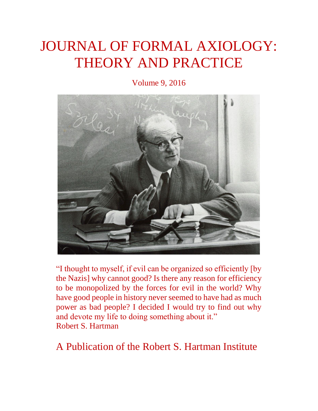# JOURNAL OF FORMAL AXIOLOGY: THEORY AND PRACTICE

Volume 9, 2016



"I thought to myself, if evil can be organized so efficiently [by the Nazis] why cannot good? Is there any reason for efficiency to be monopolized by the forces for evil in the world? Why have good people in history never seemed to have had as much power as bad people? I decided I would try to find out why and devote my life to doing something about it." Robert S. Hartman

A Publication of the Robert S. Hartman Institute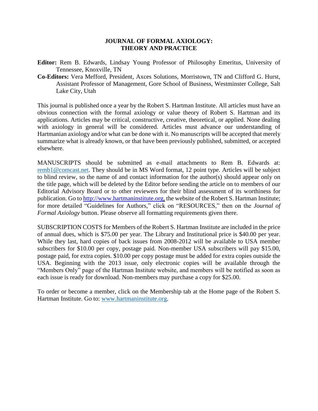#### **JOURNAL OF FORMAL AXIOLOGY: THEORY AND PRACTICE**

- **Editor:** Rem B. Edwards, Lindsay Young Professor of Philosophy Emeritus, University of Tennessee, Knoxville, TN
- **Co-Editors:** Vera Mefford, President, Axces Solutions, Morristown, TN and Clifford G. Hurst, Assistant Professor of Management, Gore School of Business, Westminster College, Salt Lake City, Utah

This journal is published once a year by the Robert S. Hartman Institute. All articles must have an obvious connection with the formal axiology or value theory of Robert S. Hartman and its applications. Articles may be critical, constructive, creative, theoretical, or applied. None dealing with axiology in general will be considered. Articles must advance our understanding of Hartmanian axiology and/or what can be done with it. No manuscripts will be accepted that merely summarize what is already known, or that have been previously published, submitted, or accepted elsewhere.

MANUSCRIPTS should be submitted as e-mail attachments to Rem B. Edwards at: remb1@comcast.net. They should be in MS Word format, 12 point type. Articles will be subject to blind review, so the name of and contact information for the author(s) should appear only on the title page, which will be deleted by the Editor before sending the article on to members of our Editorial Advisory Board or to other reviewers for their blind assessment of its worthiness for publication. Go to http://www.hartmaninstitute.org, the website of the Robert S. Hartman Institute; for more detailed "Guidelines for Authors," click on "RESOURCES," then on the *Journal of Formal Axiology* button. Please observe all formatting requirements given there.

SUBSCRIPTION COSTS for Members of the Robert S. Hartman Institute are included in the price of annual dues, which is \$75.00 per year. The Library and Institutional price is \$40.00 per year. While they last, hard copies of back issues from 2008-2012 will be available to USA member subscribers for \$10.00 per copy, postage paid. Non-member USA subscribers will pay \$15.00, postage paid, for extra copies. \$10.00 per copy postage must be added for extra copies outside the USA. Beginning with the 2013 issue, only electronic copies will be available through the "Members Only" page of the Hartman Institute website, and members will be notified as soon as each issue is ready for download. Non-members may purchase a copy for \$25.00.

To order or become a member, click on the Membership tab at the Home page of the Robert S. Hartman Institute. Go to: www.hartmaninstitute.org.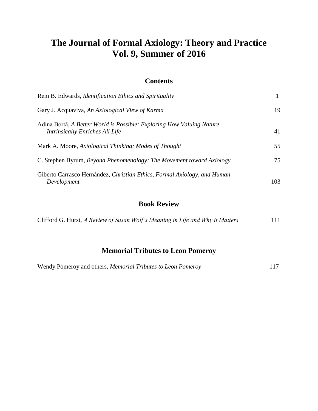# **The Journal of Formal Axiology: Theory and Practice Vol. 9, Summer of 2016**

### **Contents**

| Rem B. Edwards, Identification Ethics and Spirituality                                                   |     |
|----------------------------------------------------------------------------------------------------------|-----|
| Gary J. Acquaviva, An Axiological View of Karma                                                          | 19  |
| Adina Bortă, A Better World is Possible: Exploring How Valuing Nature<br>Intrinsically Enriches All Life | 41  |
| Mark A. Moore, Axiological Thinking: Modes of Thought                                                    | 55  |
| C. Stephen Byrum, Beyond Phenomenology: The Movement toward Axiology                                     | 75  |
| Giberto Carrasco Hernàndez, Christian Ethics, Formal Axiology, and Human<br>Development                  | 103 |

## **Book Review**

| Clifford G. Hurst, A Review of Susan Wolf's Meaning in Life and Why it Matters |  | 111 |
|--------------------------------------------------------------------------------|--|-----|
|                                                                                |  |     |

# **Memorial Tributes to Leon Pomeroy**

| Wendy Pomeroy and others, <i>Memorial Tributes to Leon Pomeroy</i> |
|--------------------------------------------------------------------|
|--------------------------------------------------------------------|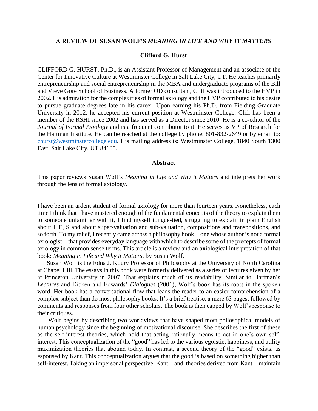#### **A REVIEW OF SUSAN WOLF'S** *MEANING IN LIFE AND WHY IT MATTERS*

#### **Clifford G. Hurst**

CLIFFORD G. HURST, Ph.D., is an Assistant Professor of Management and an associate of the Center for Innovative Culture at Westminster College in Salt Lake City, UT. He teaches primarily entrepreneurship and social entrepreneurship in the MBA and undergraduate programs of the Bill and Vieve Gore School of Business. A former OD consultant, Cliff was introduced to the HVP in 2002. His admiration for the complexities of formal axiology and the HVP contributed to his desire to pursue graduate degrees late in his career. Upon earning his Ph.D. from Fielding Graduate University in 2012, he accepted his current position at Westminster College. Cliff has been a member of the RSHI since 2002 and has served as a Director since 2010. He is a co-editor of the *Journal of Formal Axiology* and is a frequent contributor to it. He serves as VP of Research for the Hartman Institute. He can be reached at the college by phone: 801-832-2649 or by email to: churst@westminstercollege.edu. His mailing address is: Westminster College, 1840 South 1300 East, Salt Lake City, UT 84105.

#### **Abstract**

This paper reviews Susan Wolf's *Meaning in Life and Why it Matters* and interprets her work through the lens of formal axiology.

I have been an ardent student of formal axiology for more than fourteen years. Nonetheless, each time I think that I have mastered enough of the fundamental concepts of the theory to explain them to someone unfamiliar with it, I find myself tongue-tied, struggling to explain in plain English about I, E, S and about super-valuation and sub-valuation, compositions and transpositions, and so forth. To my relief, I recently came across a philosophy book—one whose author is not a formal axiologist—that provides everyday language with which to describe some of the precepts of formal axiology in common sense terms. This article is a review and an axiological interpretation of that book: *Meaning in Life and Why it Matters*, by Susan Wolf.

Susan Wolf is the Edna J. Koury Professor of Philosophy at the University of North Carolina at Chapel Hill. The essays in this book were formerly delivered as a series of lectures given by her at Princeton University in 2007. That explains much of its readability. Similar to Hartman's *Lectures* and Dicken and Edwards' *Dialogues* (2001), Wolf's book has its roots in the spoken word. Her book has a conversational flow that leads the reader to an easier comprehension of a complex subject than do most philosophy books. It's a brief treatise, a mere 63 pages, followed by comments and responses from four other scholars. The book is then capped by Wolf's response to their critiques.

Wolf begins by describing two worldviews that have shaped most philosophical models of human psychology since the beginning of motivational discourse. She describes the first of these as the self-interest theories, which hold that acting rationally means to act in one's own selfinterest. This conceptualization of the "good" has led to the various egoistic, happiness, and utility maximization theories that abound today. In contrast, a second theory of the "good" exists, as espoused by Kant. This conceptualization argues that the good is based on something higher than self-interest. Taking an impersonal perspective, Kant—and theories derived from Kant—maintain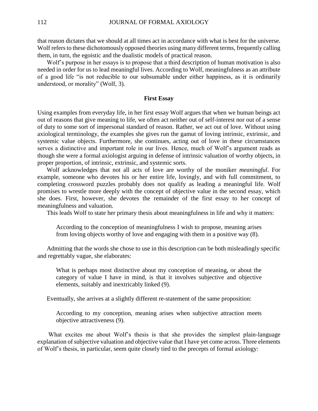that reason dictates that we should at all times act in accordance with what is best for the universe. Wolf refers to these dichotomously opposed theories using many different terms, frequently calling them, in turn, the egoistic and the dualistic models of practical reason.

Wolf's purpose in her essays is to propose that a third description of human motivation is also needed in order for us to lead meaningful lives. According to Wolf, meaningfulness as an attribute of a good life "is not reducible to our subsumable under either happiness, as it is ordinarily understood, or morality" (Wolf, 3).

#### **First Essay**

Using examples from everyday life, in her first essay Wolf argues that when we human beings act out of reasons that give meaning to life, we often act neither out of self-interest nor out of a sense of duty to some sort of impersonal standard of reason. Rather, we act out of love. Without using axiological terminology, the examples she gives run the gamut of loving intrinsic, extrinsic, and systemic value objects. Furthermore, she continues, acting out of love in these circumstances serves a distinctive and important role in our lives. Hence, much of Wolf's argument reads as though she were a formal axiologist arguing in defense of intrinsic valuation of worthy objects, in proper proportion, of intrinsic, extrinsic, and systemic sorts.

Wolf acknowledges that not all acts of love are worthy of the moniker *meaningful*. For example, someone who devotes his or her entire life, lovingly, and with full commitment, to completing crossword puzzles probably does not qualify as leading a meaningful life. Wolf promises to wrestle more deeply with the concept of objective value in the second essay, which she does. First, however, she devotes the remainder of the first essay to her concept of meaningfulness and valuation.

This leads Wolf to state her primary thesis about meaningfulness in life and why it matters:

According to the conception of meaningfulness I wish to propose, meaning arises from loving objects worthy of love and engaging with them in a positive way (8).

Admitting that the words she chose to use in this description can be both misleadingly specific and regrettably vague, she elaborates:

What is perhaps most distinctive about my conception of meaning, or about the category of value I have in mind, is that it involves subjective and objective elements, suitably and inextricably linked (9).

Eventually, she arrives at a slightly different re-statement of the same proposition:

According to my conception, meaning arises when subjective attraction meets objective attractiveness (9).

What excites me about Wolf's thesis is that she provides the simplest plain-language explanation of subjective valuation and objective value that I have yet come across. Three elements of Wolf's thesis, in particular, seem quite closely tied to the precepts of formal axiology: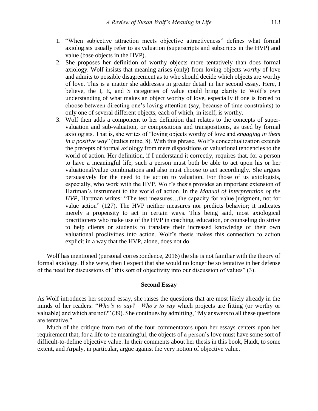- 1. "When subjective attraction meets objective attractiveness" defines what formal axiologists usually refer to as valuation (superscripts and subscripts in the HVP) and value (base objects in the HVP).
- 2. She proposes her definition of worthy objects more tentatively than does formal axiology. Wolf insists that meaning arises (only) from loving objects *worthy* of love and admits to possible disagreement as to who should decide which objects are worthy of love. This is a matter she addresses in greater detail in her second essay. Here, I believe, the I, E, and S categories of value could bring clarity to Wolf's own understanding of what makes an object worthy of love, especially if one is forced to choose between directing one's loving attention (say, because of time constraints) to only one of several different objects, each of which, in itself, is worthy.
- 3. Wolf then adds a component to her definition that relates to the concepts of supervaluation and sub-valuation, or compositions and transpositions, as used by formal axiologists. That is, she writes of "loving objects worthy of love and *engaging in them in a positive way*" (italics mine, 8). With this phrase, Wolf's conceptualization extends the precepts of formal axiology from mere dispositions or valuational tendencies to the world of action. Her definition, if I understand it correctly, requires that, for a person to have a meaningful life, such a person must both be able to act upon his or her valuational/value combinations and also must choose to act accordingly. She argues persuasively for the need to tie action to valuation. For those of us axiologists, especially, who work with the HVP, Wolf's thesis provides an important extension of Hartman's instrument to the world of action. In the *Manual of Interpretation of the HVP*, Hartman writes: "The test measures…the capacity for value judgment, not for value action" (127). The HVP neither measures nor predicts behavior; it indicates merely a propensity to act in certain ways. This being said, most axiological practitioners who make use of the HVP in coaching, education, or counseling do strive to help clients or students to translate their increased knowledge of their own valuational proclivities into action. Wolf's thesis makes this connection to action explicit in a way that the HVP, alone, does not do.

Wolf has mentioned (personal correspondence, 2016) the she is not familiar with the theory of formal axiology. If she were, then I expect that she would no longer be so tentative in her defense of the need for discussions of "this sort of objectivity into our discussion of values" (3).

#### **Second Essay**

As Wolf introduces her second essay, she raises the questions that are most likely already in the minds of her readers: "*Who's to say?—Who's to say* which projects are fitting (or worthy or valuable) and which are not?" (39). She continues by admitting, "My answers to all these questions are tentative."

Much of the critique from two of the four commentators upon her essays centers upon her requirement that, for a life to be meaningful, the objects of a person's love must have some sort of difficult-to-define objective value. In their comments about her thesis in this book, Haidt, to some extent, and Arpaly, in particular, argue against the very notion of objective value.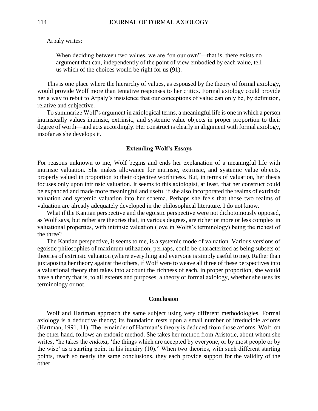Arpaly writes:

When deciding between two values, we are "on our own"—that is, there exists no argument that can, independently of the point of view embodied by each value, tell us which of the choices would be right for us (91).

This is one place where the hierarchy of values, as espoused by the theory of formal axiology, would provide Wolf more than tentative responses to her critics. Formal axiology could provide her a way to rebut to Arpaly's insistence that our conceptions of value can only be, by definition, relative and subjective.

To summarize Wolf's argument in axiological terms, a meaningful life is one in which a person intrinsically values intrinsic, extrinsic, and systemic value objects in proper proportion to their degree of worth—and acts accordingly. Her construct is clearly in alignment with formal axiology, insofar as she develops it.

#### **Extending Wolf's Essays**

For reasons unknown to me, Wolf begins and ends her explanation of a meaningful life with intrinsic valuation. She makes allowance for intrinsic, extrinsic, and systemic value objects, properly valued in proportion to their objective worthiness. But, in terms of valuation, her thesis focuses only upon intrinsic valuation. It seems to this axiologist, at least, that her construct could be expanded and made more meaningful and useful if she also incorporated the realms of extrinsic valuation and systemic valuation into her schema. Perhaps she feels that those two realms of valuation are already adequately developed in the philosophical literature. I do not know.

What if the Kantian perspective and the egoistic perspective were not dichotomously opposed, as Wolf says, but rather are theories that, in various degrees, are richer or more or less complex in valuational properties, with intrinsic valuation (love in Wolfs's terminology) being the richest of the three?

The Kantian perspective, it seems to me, is a systemic mode of valuation. Various versions of egoistic philosophies of maximum utilization, perhaps, could be characterized as being subsets of theories of extrinsic valuation (where everything and everyone is simply useful to me). Rather than juxtaposing her theory against the others, if Wolf were to weave all three of these perspectives into a valuational theory that takes into account the richness of each, in proper proportion, she would have a theory that is, to all extents and purposes, a theory of formal axiology, whether she uses its terminology or not.

#### **Conclusion**

Wolf and Hartman approach the same subject using very different methodologies. Formal axiology is a deductive theory; its foundation rests upon a small number of irreducible axioms (Hartman, 1991, 11). The remainder of Hartman's theory is deduced from those axioms. Wolf, on the other hand, follows an endoxic method. She takes her method from Aristotle, about whom she writes, "he takes the *endoxa*, 'the things which are accepted by everyone, or by most people or by the wise' as a starting point in his inquiry (10)." When two theories, with such different starting points, reach so nearly the same conclusions, they each provide support for the validity of the other.